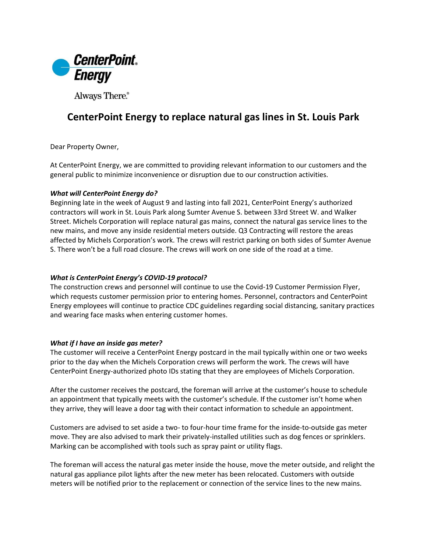

Always There.®

# **CenterPoint Energy to replace natural gas lines in St. Louis Park**

Dear Property Owner,

At CenterPoint Energy, we are committed to providing relevant information to our customers and the general public to minimize inconvenience or disruption due to our construction activities.

## *What will CenterPoint Energy do?*

Beginning late in the week of August 9 and lasting into fall 2021, CenterPoint Energy's authorized contractors will work in St. Louis Park along Sumter Avenue S. between 33rd Street W. and Walker Street. Michels Corporation will replace natural gas mains, connect the natural gas service lines to the new mains, and move any inside residential meters outside. Q3 Contracting will restore the areas affected by Michels Corporation's work. The crews will restrict parking on both sides of Sumter Avenue S. There won't be a full road closure. The crews will work on one side of the road at a time.

## *What is CenterPoint Energy's COVID-19 protocol?*

The construction crews and personnel will continue to use the Covid-19 Customer Permission Flyer, which requests customer permission prior to entering homes. Personnel, contractors and CenterPoint Energy employees will continue to practice CDC guidelines regarding social distancing, sanitary practices and wearing face masks when entering customer homes.

### *What if I have an inside gas meter?*

The customer will receive a CenterPoint Energy postcard in the mail typically within one or two weeks prior to the day when the Michels Corporation crews will perform the work. The crews will have CenterPoint Energy-authorized photo IDs stating that they are employees of Michels Corporation.

After the customer receives the postcard, the foreman will arrive at the customer's house to schedule an appointment that typically meets with the customer's schedule. If the customer isn't home when they arrive, they will leave a door tag with their contact information to schedule an appointment.

Customers are advised to set aside a two- to four-hour time frame for the inside-to-outside gas meter move. They are also advised to mark their privately-installed utilities such as dog fences or sprinklers. Marking can be accomplished with tools such as spray paint or utility flags.

The foreman will access the natural gas meter inside the house, move the meter outside, and relight the natural gas appliance pilot lights after the new meter has been relocated. Customers with outside meters will be notified prior to the replacement or connection of the service lines to the new mains.